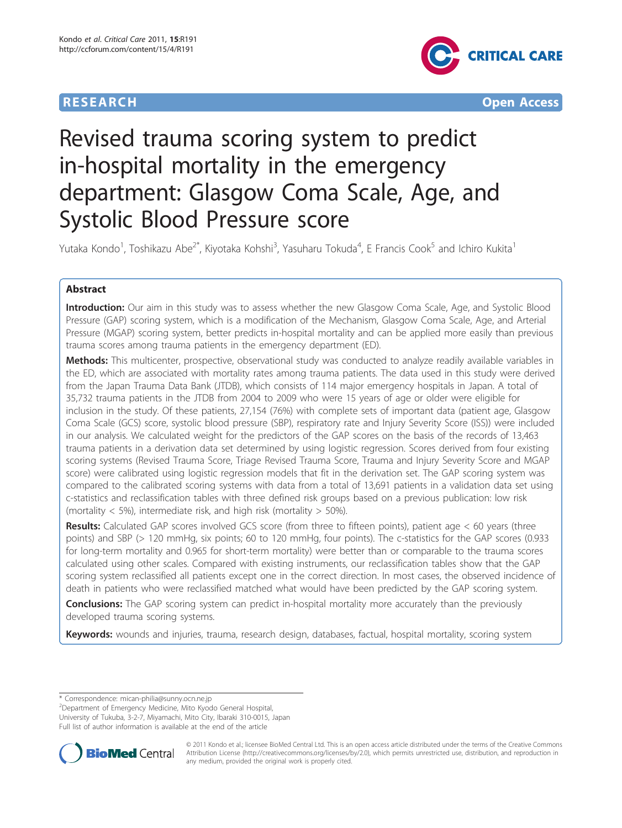



# Revised trauma scoring system to predict in-hospital mortality in the emergency department: Glasgow Coma Scale, Age, and Systolic Blood Pressure score

Yutaka Kondo<sup>1</sup>, Toshikazu Abe<sup>2\*</sup>, Kiyotaka Kohshi<sup>3</sup>, Yasuharu Tokuda<sup>4</sup>, E Francis Cook<sup>5</sup> and Ichiro Kukita<sup>1</sup>

# Abstract

Introduction: Our aim in this study was to assess whether the new Glasgow Coma Scale, Age, and Systolic Blood Pressure (GAP) scoring system, which is a modification of the Mechanism, Glasgow Coma Scale, Age, and Arterial Pressure (MGAP) scoring system, better predicts in-hospital mortality and can be applied more easily than previous trauma scores among trauma patients in the emergency department (ED).

Methods: This multicenter, prospective, observational study was conducted to analyze readily available variables in the ED, which are associated with mortality rates among trauma patients. The data used in this study were derived from the Japan Trauma Data Bank (JTDB), which consists of 114 major emergency hospitals in Japan. A total of 35,732 trauma patients in the JTDB from 2004 to 2009 who were 15 years of age or older were eligible for inclusion in the study. Of these patients, 27,154 (76%) with complete sets of important data (patient age, Glasgow Coma Scale (GCS) score, systolic blood pressure (SBP), respiratory rate and Injury Severity Score (ISS)) were included in our analysis. We calculated weight for the predictors of the GAP scores on the basis of the records of 13,463 trauma patients in a derivation data set determined by using logistic regression. Scores derived from four existing scoring systems (Revised Trauma Score, Triage Revised Trauma Score, Trauma and Injury Severity Score and MGAP score) were calibrated using logistic regression models that fit in the derivation set. The GAP scoring system was compared to the calibrated scoring systems with data from a total of 13,691 patients in a validation data set using c-statistics and reclassification tables with three defined risk groups based on a previous publication: low risk (mortality  $<$  5%), intermediate risk, and high risk (mortality  $>$  50%).

**Results:** Calculated GAP scores involved GCS score (from three to fifteen points), patient age  $<$  60 years (three points) and SBP (> 120 mmHg, six points; 60 to 120 mmHg, four points). The c-statistics for the GAP scores (0.933 for long-term mortality and 0.965 for short-term mortality) were better than or comparable to the trauma scores calculated using other scales. Compared with existing instruments, our reclassification tables show that the GAP scoring system reclassified all patients except one in the correct direction. In most cases, the observed incidence of death in patients who were reclassified matched what would have been predicted by the GAP scoring system.

**Conclusions:** The GAP scoring system can predict in-hospital mortality more accurately than the previously developed trauma scoring systems.

Keywords: wounds and injuries, trauma, research design, databases, factual, hospital mortality, scoring system

2 Department of Emergency Medicine, Mito Kyodo General Hospital, University of Tukuba, 3-2-7, Miyamachi, Mito City, Ibaraki 310-0015, Japan Full list of author information is available at the end of the article



© 2011 Kondo et al.; licensee BioMed Central Ltd. This is an open access article distributed under the terms of the Creative Commons Attribution License [\(http://creativecommons.org/licenses/by/2.0](http://creativecommons.org/licenses/by/2.0)), which permits unrestricted use, distribution, and reproduction in any medium, provided the original work is properly cited.

<sup>\*</sup> Correspondence: [mican-philia@sunny.ocn.ne.jp](mailto:mican-philia@sunny.ocn.ne.jp)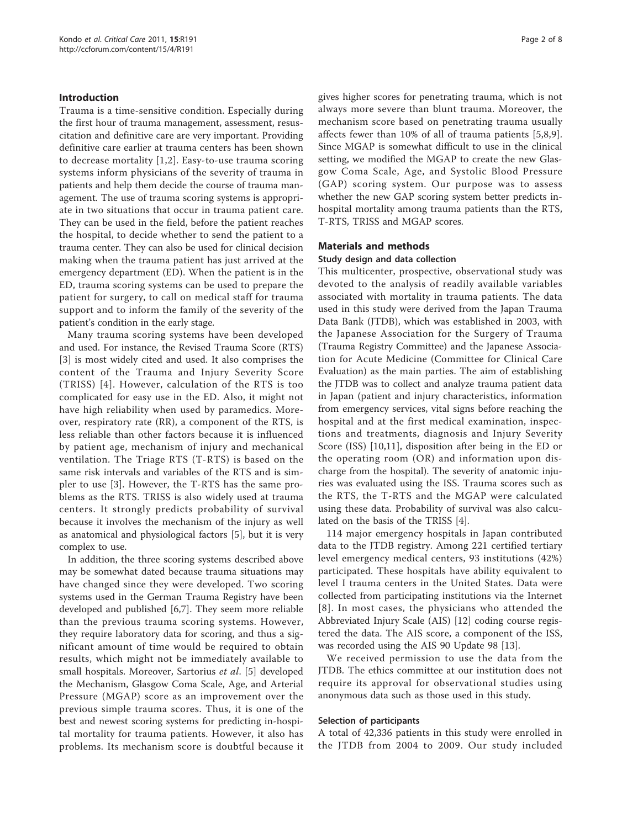## Introduction

Trauma is a time-sensitive condition. Especially during the first hour of trauma management, assessment, resuscitation and definitive care are very important. Providing definitive care earlier at trauma centers has been shown to decrease mortality [[1,2\]](#page-7-0). Easy-to-use trauma scoring systems inform physicians of the severity of trauma in patients and help them decide the course of trauma management. The use of trauma scoring systems is appropriate in two situations that occur in trauma patient care. They can be used in the field, before the patient reaches the hospital, to decide whether to send the patient to a trauma center. They can also be used for clinical decision making when the trauma patient has just arrived at the emergency department (ED). When the patient is in the ED, trauma scoring systems can be used to prepare the patient for surgery, to call on medical staff for trauma support and to inform the family of the severity of the patient's condition in the early stage.

Many trauma scoring systems have been developed and used. For instance, the Revised Trauma Score (RTS) [[3\]](#page-7-0) is most widely cited and used. It also comprises the content of the Trauma and Injury Severity Score (TRISS) [[4](#page-7-0)]. However, calculation of the RTS is too complicated for easy use in the ED. Also, it might not have high reliability when used by paramedics. Moreover, respiratory rate (RR), a component of the RTS, is less reliable than other factors because it is influenced by patient age, mechanism of injury and mechanical ventilation. The Triage RTS (T-RTS) is based on the same risk intervals and variables of the RTS and is simpler to use [[3\]](#page-7-0). However, the T-RTS has the same problems as the RTS. TRISS is also widely used at trauma centers. It strongly predicts probability of survival because it involves the mechanism of the injury as well as anatomical and physiological factors [\[5](#page-7-0)], but it is very complex to use.

In addition, the three scoring systems described above may be somewhat dated because trauma situations may have changed since they were developed. Two scoring systems used in the German Trauma Registry have been developed and published [\[6](#page-7-0),[7](#page-7-0)]. They seem more reliable than the previous trauma scoring systems. However, they require laboratory data for scoring, and thus a significant amount of time would be required to obtain results, which might not be immediately available to small hospitals. Moreover, Sartorius et al. [[5\]](#page-7-0) developed the Mechanism, Glasgow Coma Scale, Age, and Arterial Pressure (MGAP) score as an improvement over the previous simple trauma scores. Thus, it is one of the best and newest scoring systems for predicting in-hospital mortality for trauma patients. However, it also has problems. Its mechanism score is doubtful because it gives higher scores for penetrating trauma, which is not always more severe than blunt trauma. Moreover, the mechanism score based on penetrating trauma usually affects fewer than 10% of all of trauma patients [\[5,8,9](#page-7-0)]. Since MGAP is somewhat difficult to use in the clinical setting, we modified the MGAP to create the new Glasgow Coma Scale, Age, and Systolic Blood Pressure (GAP) scoring system. Our purpose was to assess whether the new GAP scoring system better predicts inhospital mortality among trauma patients than the RTS, T-RTS, TRISS and MGAP scores.

# Materials and methods

#### Study design and data collection

This multicenter, prospective, observational study was devoted to the analysis of readily available variables associated with mortality in trauma patients. The data used in this study were derived from the Japan Trauma Data Bank (JTDB), which was established in 2003, with the Japanese Association for the Surgery of Trauma (Trauma Registry Committee) and the Japanese Association for Acute Medicine (Committee for Clinical Care Evaluation) as the main parties. The aim of establishing the JTDB was to collect and analyze trauma patient data in Japan (patient and injury characteristics, information from emergency services, vital signs before reaching the hospital and at the first medical examination, inspections and treatments, diagnosis and Injury Severity Score (ISS) [[10,11\]](#page-7-0), disposition after being in the ED or the operating room (OR) and information upon discharge from the hospital). The severity of anatomic injuries was evaluated using the ISS. Trauma scores such as the RTS, the T-RTS and the MGAP were calculated using these data. Probability of survival was also calculated on the basis of the TRISS [[4](#page-7-0)].

114 major emergency hospitals in Japan contributed data to the JTDB registry. Among 221 certified tertiary level emergency medical centers, 93 institutions (42%) participated. These hospitals have ability equivalent to level I trauma centers in the United States. Data were collected from participating institutions via the Internet [[8\]](#page-7-0). In most cases, the physicians who attended the Abbreviated Injury Scale (AIS) [\[12](#page-7-0)] coding course registered the data. The AIS score, a component of the ISS, was recorded using the AIS 90 Update 98 [\[13](#page-7-0)].

We received permission to use the data from the JTDB. The ethics committee at our institution does not require its approval for observational studies using anonymous data such as those used in this study.

#### Selection of participants

A total of 42,336 patients in this study were enrolled in the JTDB from 2004 to 2009. Our study included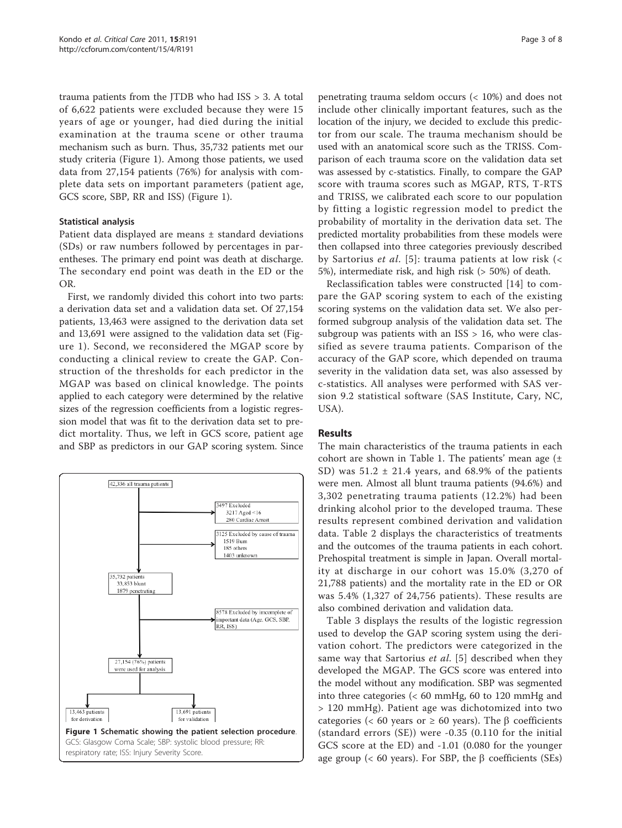trauma patients from the JTDB who had ISS > 3. A total of 6,622 patients were excluded because they were 15 years of age or younger, had died during the initial examination at the trauma scene or other trauma mechanism such as burn. Thus, 35,732 patients met our study criteria (Figure 1). Among those patients, we used data from 27,154 patients (76%) for analysis with complete data sets on important parameters (patient age, GCS score, SBP, RR and ISS) (Figure 1).

# Statistical analysis

Patient data displayed are means ± standard deviations (SDs) or raw numbers followed by percentages in parentheses. The primary end point was death at discharge. The secondary end point was death in the ED or the OR.

First, we randomly divided this cohort into two parts: a derivation data set and a validation data set. Of 27,154 patients, 13,463 were assigned to the derivation data set and 13,691 were assigned to the validation data set (Figure 1). Second, we reconsidered the MGAP score by conducting a clinical review to create the GAP. Construction of the thresholds for each predictor in the MGAP was based on clinical knowledge. The points applied to each category were determined by the relative sizes of the regression coefficients from a logistic regression model that was fit to the derivation data set to predict mortality. Thus, we left in GCS score, patient age and SBP as predictors in our GAP scoring system. Since



penetrating trauma seldom occurs (< 10%) and does not include other clinically important features, such as the location of the injury, we decided to exclude this predictor from our scale. The trauma mechanism should be used with an anatomical score such as the TRISS. Comparison of each trauma score on the validation data set was assessed by c-statistics. Finally, to compare the GAP score with trauma scores such as MGAP, RTS, T-RTS and TRISS, we calibrated each score to our population by fitting a logistic regression model to predict the probability of mortality in the derivation data set. The predicted mortality probabilities from these models were then collapsed into three categories previously described by Sartorius *et al.* [\[5\]](#page-7-0): trauma patients at low risk  $\left\langle \epsilon \right\rangle$ 5%), intermediate risk, and high risk (> 50%) of death.

Reclassification tables were constructed [[14](#page-7-0)] to compare the GAP scoring system to each of the existing scoring systems on the validation data set. We also performed subgroup analysis of the validation data set. The subgroup was patients with an  $ISS > 16$ , who were classified as severe trauma patients. Comparison of the accuracy of the GAP score, which depended on trauma severity in the validation data set, was also assessed by c-statistics. All analyses were performed with SAS version 9.2 statistical software (SAS Institute, Cary, NC, USA).

# Results

The main characteristics of the trauma patients in each cohort are shown in Table [1.](#page-3-0) The patients' mean age  $(±$ SD) was  $51.2 \pm 21.4$  years, and 68.9% of the patients were men. Almost all blunt trauma patients (94.6%) and 3,302 penetrating trauma patients (12.2%) had been drinking alcohol prior to the developed trauma. These results represent combined derivation and validation data. Table [2](#page-4-0) displays the characteristics of treatments and the outcomes of the trauma patients in each cohort. Prehospital treatment is simple in Japan. Overall mortality at discharge in our cohort was 15.0% (3,270 of 21,788 patients) and the mortality rate in the ED or OR was 5.4% (1,327 of 24,756 patients). These results are also combined derivation and validation data.

Table [3](#page-4-0) displays the results of the logistic regression used to develop the GAP scoring system using the derivation cohort. The predictors were categorized in the same way that Sartorius et al. [\[5](#page-7-0)] described when they developed the MGAP. The GCS score was entered into the model without any modification. SBP was segmented into three categories (< 60 mmHg, 60 to 120 mmHg and > 120 mmHg). Patient age was dichotomized into two categories (< 60 years or  $\geq$  60 years). The  $\beta$  coefficients (standard errors (SE)) were -0.35 (0.110 for the initial GCS score at the ED) and -1.01 (0.080 for the younger age group ( $<$  60 years). For SBP, the  $\beta$  coefficients (SEs)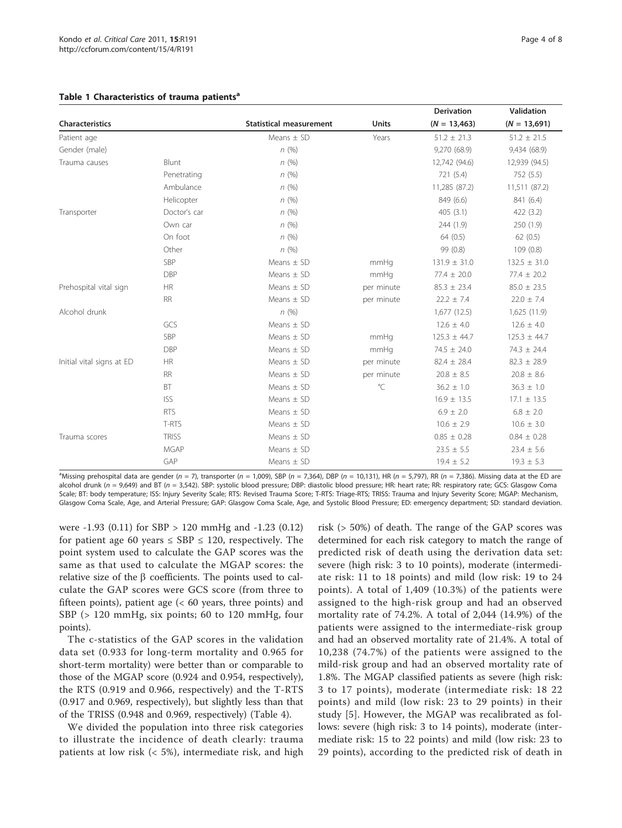#### <span id="page-3-0"></span>Table 1 Characteristics of trauma patients<sup>a</sup>

|                           |              |                                |              | <b>Derivation</b> | Validation       |
|---------------------------|--------------|--------------------------------|--------------|-------------------|------------------|
| <b>Characteristics</b>    |              | <b>Statistical measurement</b> | <b>Units</b> | $(N = 13,463)$    | $(N = 13,691)$   |
| Patient age               |              | Means $\pm$ SD                 | Years        | $51.2 \pm 21.3$   | $51.2 \pm 21.5$  |
| Gender (male)             |              | n(%)                           |              | 9,270 (68.9)      | 9,434 (68.9)     |
| Trauma causes             | Blunt        | n(%)                           |              | 12,742 (94.6)     | 12,939 (94.5)    |
|                           | Penetrating  | n(%)                           |              | 721 (5.4)         | 752 (5.5)        |
|                           | Ambulance    | n(%)                           |              | 11,285 (87.2)     | 11,511 (87.2)    |
|                           | Helicopter   | n(%)                           |              | 849 (6.6)         | 841 (6.4)        |
| Transporter               | Doctor's car | n(%)                           |              | 405(3.1)          | 422 (3.2)        |
|                           | Own car      | n(%)                           |              | 244 (1.9)         | 250 (1.9)        |
|                           | On foot      | n(%)                           |              | 64(0.5)           | 62(0.5)          |
|                           | Other        | n(%)                           |              | 99 (0.8)          | 109(0.8)         |
|                           | SBP          | $Means + SD$                   | mmHq         | $131.9 \pm 31.0$  | $132.5 \pm 31.0$ |
|                           | <b>DBP</b>   | Means $\pm$ SD                 | mmHq         | $77.4 \pm 20.0$   | $77.4 \pm 20.2$  |
| Prehospital vital sign    | <b>HR</b>    | Means $\pm$ SD                 | per minute   | $85.3 \pm 23.4$   | $85.0 \pm 23.5$  |
|                           | <b>RR</b>    | Means $\pm$ SD                 | per minute   | $22.2 \pm 7.4$    | $22.0 \pm 7.4$   |
| Alcohol drunk             |              | n(%)                           |              | 1,677(12.5)       | 1,625 (11.9)     |
|                           | GCS          | Means $\pm$ SD                 |              | $12.6 \pm 4.0$    | $12.6 \pm 4.0$   |
|                           | SBP          | Means $\pm$ SD                 | mmHq         | $125.3 \pm 44.7$  | $125.3 \pm 44.7$ |
|                           | <b>DBP</b>   | Means $\pm$ SD                 | mmHq         | $74.5 \pm 24.0$   | $74.3 \pm 24.4$  |
| Initial vital signs at ED | <b>HR</b>    | Means $\pm$ SD                 | per minute   | $82.4 \pm 28.4$   | $82.3 \pm 28.9$  |
|                           | <b>RR</b>    | Means $\pm$ SD                 | per minute   | $20.8 \pm 8.5$    | $20.8 \pm 8.6$   |
|                           | <b>BT</b>    | Means $\pm$ SD                 | $^{\circ}$ C | $36.2 \pm 1.0$    | $36.3 \pm 1.0$   |
|                           | <b>ISS</b>   | Means $\pm$ SD                 |              | $16.9 \pm 13.5$   | $17.1 \pm 13.5$  |
|                           | <b>RTS</b>   | Means $\pm$ SD                 |              | $6.9 \pm 2.0$     | $6.8 \pm 2.0$    |
|                           | T-RTS        | Means $\pm$ SD                 |              | $10.6 \pm 2.9$    | $10.6\,\pm\,3.0$ |
| Trauma scores             | <b>TRISS</b> | Means $\pm$ SD                 |              | $0.85 \pm 0.28$   | $0.84 \pm 0.28$  |
|                           | <b>MGAP</b>  | Means $\pm$ SD                 |              | $23.5 \pm 5.5$    | $23.4 \pm 5.6$   |
|                           | GAP          | Means $\pm$ SD                 |              | $19.4 \pm 5.2$    | $19.3 \pm 5.3$   |

<sup>a</sup>Missing prehospital data are gender (n = 7), transporter (n = 1,009), SBP (n = 7,364), DBP (n = 10,131), HR (n = 5,797), RR (n = 7,386). Missing data at the ED are alcohol drunk (n = 9,649) and BT (n = 3,542). SBP: systolic blood pressure; DBP: diastolic blood pressure; HR: heart rate; RR: respiratory rate; GCS: Glasgow Coma Scale; BT: body temperature; ISS: Injury Severity Scale; RTS: Revised Trauma Score; T-RTS: Triage-RTS; TRISS: Trauma and Injury Severity Score; MGAP: Mechanism, Glasgow Coma Scale, Age, and Arterial Pressure; GAP: Glasgow Coma Scale, Age, and Systolic Blood Pressure; ED: emergency department; SD: standard deviation.

were -1.93 (0.11) for SBP > 120 mmHg and -1.23 (0.12) for patient age 60 years  $\leq$  SBP  $\leq$  120, respectively. The point system used to calculate the GAP scores was the same as that used to calculate the MGAP scores: the relative size of the  $\beta$  coefficients. The points used to calculate the GAP scores were GCS score (from three to fifteen points), patient age (< 60 years, three points) and SBP (> 120 mmHg, six points; 60 to 120 mmHg, four points).

The c-statistics of the GAP scores in the validation data set (0.933 for long-term mortality and 0.965 for short-term mortality) were better than or comparable to those of the MGAP score (0.924 and 0.954, respectively), the RTS (0.919 and 0.966, respectively) and the T-RTS (0.917 and 0.969, respectively), but slightly less than that of the TRISS (0.948 and 0.969, respectively) (Table [4\)](#page-4-0).

We divided the population into three risk categories to illustrate the incidence of death clearly: trauma patients at low risk (< 5%), intermediate risk, and high

risk (> 50%) of death. The range of the GAP scores was determined for each risk category to match the range of predicted risk of death using the derivation data set: severe (high risk: 3 to 10 points), moderate (intermediate risk: 11 to 18 points) and mild (low risk: 19 to 24 points). A total of 1,409 (10.3%) of the patients were assigned to the high-risk group and had an observed mortality rate of 74.2%. A total of 2,044 (14.9%) of the patients were assigned to the intermediate-risk group and had an observed mortality rate of 21.4%. A total of 10,238 (74.7%) of the patients were assigned to the mild-risk group and had an observed mortality rate of 1.8%. The MGAP classified patients as severe (high risk: 3 to 17 points), moderate (intermediate risk: 18 22 points) and mild (low risk: 23 to 29 points) in their study [[5](#page-7-0)]. However, the MGAP was recalibrated as follows: severe (high risk: 3 to 14 points), moderate (intermediate risk: 15 to 22 points) and mild (low risk: 23 to 29 points), according to the predicted risk of death in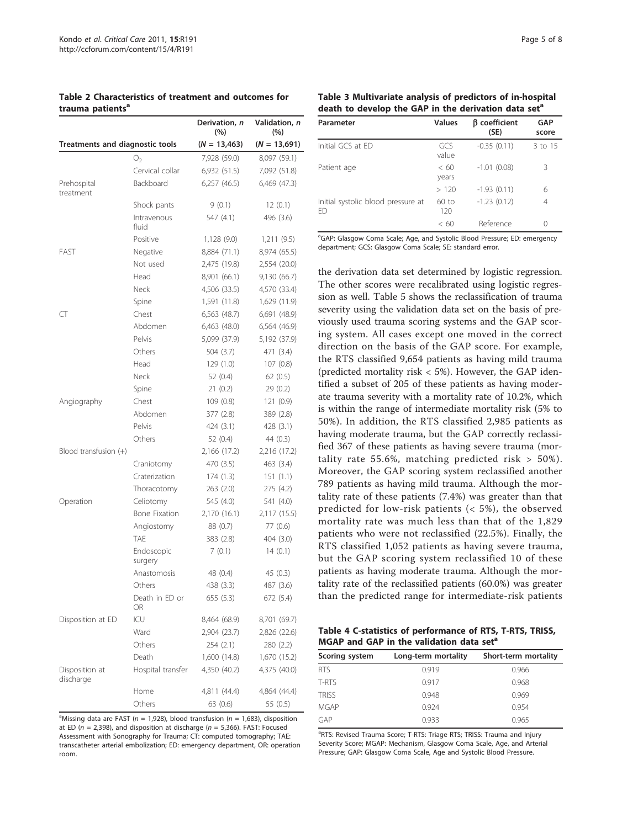|                                 |                       | Derivation, n<br>(%) | Validation, n<br>(%) |
|---------------------------------|-----------------------|----------------------|----------------------|
| Treatments and diagnostic tools |                       | $(N = 13,463)$       | $(N = 13,691)$       |
|                                 | O <sub>2</sub>        | 7,928 (59.0)         | 8,097 (59.1)         |
|                                 | Cervical collar       | 6,932 (51.5)         | 7,092 (51.8)         |
| Prehospital<br>treatment        | <b>Backboard</b>      | 6,257(46.5)          | 6,469 (47.3)         |
|                                 | Shock pants           | 9(0.1)               | 12(0.1)              |
|                                 | Intravenous<br>fluid  | 547 (4.1)            | 496 (3.6)            |
|                                 | Positive              | 1,128 (9.0)          | 1,211 (9.5)          |
| <b>FAST</b>                     | Negative              | 8,884 (71.1)         | 8,974 (65.5)         |
|                                 | Not used              | 2,475 (19.8)         | 2,554 (20.0)         |
|                                 | Head                  | 8,901 (66.1)         | 9,130 (66.7)         |
|                                 | <b>Neck</b>           | 4,506 (33.5)         | 4,570 (33.4)         |
|                                 | Spine                 | 1,591 (11.8)         | 1,629 (11.9)         |
| CT                              | Chest                 | 6,563(48.7)          | 6,691 (48.9)         |
|                                 | Abdomen               | 6,463 (48.0)         | 6,564 (46.9)         |
|                                 | Pelvis                | 5,099 (37.9)         | 5,192 (37.9)         |
|                                 | Others                | 504 (3.7)            | 471 (3.4)            |
|                                 | Head                  | 129(1.0)             | 107(0.8)             |
|                                 | <b>Neck</b>           | 52(0.4)              | 62(0.5)              |
|                                 | Spine                 | 21(0.2)              | 29(0.2)              |
| Angiography                     | Chest                 | 109(0.8)             | 121 (0.9)            |
|                                 | Abdomen               | 377(2.8)             | 389 (2.8)            |
|                                 | Pelvis                | 424 (3.1)            | 428 (3.1)            |
|                                 | Others                | 52 (0.4)             | 44 $(0.3)$           |
| Blood transfusion $(+)$         |                       | 2,166 (17.2)         | 2,216 (17.2)         |
|                                 | Craniotomy            | 470 (3.5)            | 463 (3.4)            |
|                                 | Craterization         | 174 (1.3)            | 151(1.1)             |
|                                 | Thoracotomy           | 263(2.0)             | 275 (4.2)            |
| Operation                       | Celiotomy             | 545 (4.0)            | 541 (4.0)            |
|                                 | <b>Bone Fixation</b>  | 2,170 (16.1)         | 2,117 (15.5)         |
|                                 | Angiostomy            | 88 (0.7)             | 77 (0.6)             |
|                                 | TAE                   | 383 (2.8)            | 404 (3.0)            |
|                                 | Endoscopic<br>surgery | 7(0.1)               | 14(0.1)              |
|                                 | Anastomosis           | 48 (0.4)             | 45 (0.3)             |
|                                 | Others                | 438 (3.3)            | 487 (3.6)            |
|                                 | Death in ED or<br>OR. | 655 (5.3)            | 672 (5.4)            |
| Disposition at ED               | ICU                   | 8,464 (68.9)         | 8,701 (69.7)         |
|                                 | Ward                  | 2,904 (23.7)         | 2,826 (22.6)         |
|                                 | Others                | 254(2.1)             | 280 (2.2)            |
|                                 | Death                 | 1,600 (14.8)         | 1,670 (15.2)         |
| Disposition at<br>discharge     | Hospital transfer     | 4,350 (40.2)         | 4,375 (40.0)         |
|                                 | Home                  | 4,811 (44.4)         | 4,864 (44.4)         |
|                                 | Others                | 63 (0.6)             | 55 (0.5)             |

<span id="page-4-0"></span>Table 2 Characteristics of treatment and outcomes for trauma patients<sup>a</sup>

<sup>a</sup>Missing data are FAST ( $n = 1,928$ ), blood transfusion ( $n = 1,683$ ), disposition at ED ( $n = 2,398$ ), and disposition at discharge ( $n = 5,366$ ). FAST: Focused Assessment with Sonography for Trauma; CT: computed tomography; TAE: transcatheter arterial embolization; ED: emergency department, OR: operation room.

Table 3 Multivariate analysis of predictors of in-hospital death to develop the GAP in the derivation data set<sup>a</sup>

| Parameter                                | <b>Values</b> | $\beta$ coefficient<br>(SE) | GAP<br>score |
|------------------------------------------|---------------|-----------------------------|--------------|
| Initial GCS at ED                        | GCS<br>value  | $-0.35(0.11)$               | 3 to 15      |
| Patient age                              | < 60<br>years | $-1.01(0.08)$               | 3            |
|                                          | >120          | $-1.93(0.11)$               | 6            |
| Initial systolic blood pressure at<br>FD | 60 to<br>120  | $-1.23(0.12)$               | 4            |
|                                          | < 60          | Reference                   |              |

<sup>a</sup>GAP: Glasgow Coma Scale; Age, and Systolic Blood Pressure; ED: emergency department; GCS: Glasgow Coma Scale; SE: standard error.

the derivation data set determined by logistic regression. The other scores were recalibrated using logistic regression as well. Table [5](#page-5-0) shows the reclassification of trauma severity using the validation data set on the basis of previously used trauma scoring systems and the GAP scoring system. All cases except one moved in the correct direction on the basis of the GAP score. For example, the RTS classified 9,654 patients as having mild trauma (predicted mortality risk  $<$  5%). However, the GAP identified a subset of 205 of these patients as having moderate trauma severity with a mortality rate of 10.2%, which is within the range of intermediate mortality risk (5% to 50%). In addition, the RTS classified 2,985 patients as having moderate trauma, but the GAP correctly reclassified 367 of these patients as having severe trauma (mortality rate 55.6%, matching predicted risk  $> 50\%$ ). Moreover, the GAP scoring system reclassified another 789 patients as having mild trauma. Although the mortality rate of these patients (7.4%) was greater than that predicted for low-risk patients (< 5%), the observed mortality rate was much less than that of the 1,829 patients who were not reclassified (22.5%). Finally, the RTS classified 1,052 patients as having severe trauma, but the GAP scoring system reclassified 10 of these patients as having moderate trauma. Although the mortality rate of the reclassified patients (60.0%) was greater than the predicted range for intermediate-risk patients

Table 4 C-statistics of performance of RTS, T-RTS, TRISS, MGAP and GAP in the validation data set<sup>a</sup>

| Scoring system | Long-term mortality | Short-term mortality |
|----------------|---------------------|----------------------|
| <b>RTS</b>     | 0.919               | 0.966                |
| T-RTS          | 0.917               | 0.968                |
| <b>TRISS</b>   | 0.948               | 0.969                |
| MGAP           | 0.924               | 0.954                |
| GAP            | 0.933               | 0.965                |
|                |                     |                      |

<sup>a</sup>RTS: Revised Trauma Score; T-RTS: Triage RTS; TRISS: Trauma and Injury Severity Score; MGAP: Mechanism, Glasgow Coma Scale, Age, and Arterial Pressure; GAP: Glasgow Coma Scale, Age and Systolic Blood Pressure.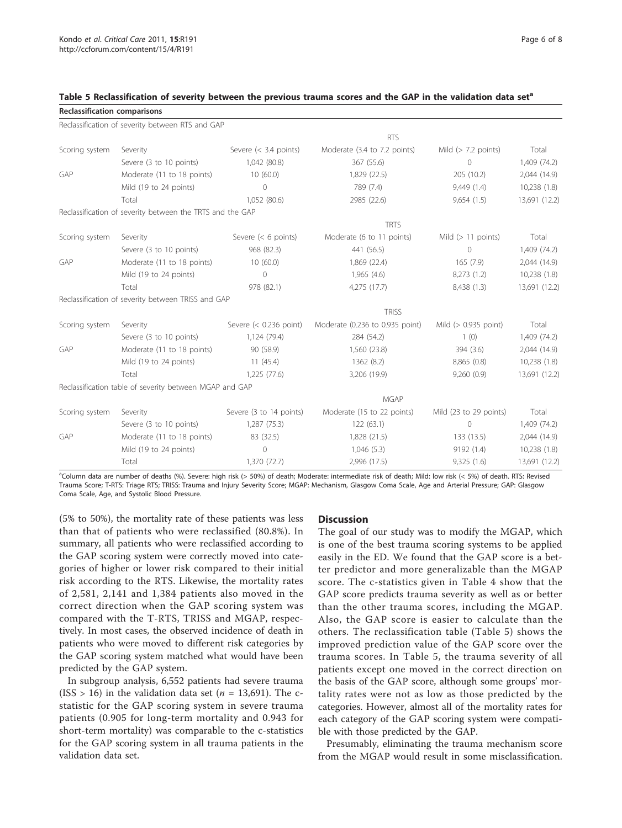| <b>Reclassification comparisons</b> |                                                           |                          |                                 |                        |               |
|-------------------------------------|-----------------------------------------------------------|--------------------------|---------------------------------|------------------------|---------------|
|                                     | Reclassification of severity between RTS and GAP          |                          |                                 |                        |               |
|                                     |                                                           |                          | <b>RTS</b>                      |                        |               |
| Scoring system                      | Severity                                                  | Severe $(3.4 points)$    | Moderate (3.4 to 7.2 points)    | Mild $(> 7.2$ points)  | Total         |
|                                     | Severe (3 to 10 points)                                   | 1,042 (80.8)             | 367 (55.6)                      | $\Omega$               | 1,409 (74.2)  |
| GAP                                 | Moderate (11 to 18 points)                                | 10(60.0)                 | 1,829 (22.5)                    | 205 (10.2)             | 2,044 (14.9)  |
|                                     | Mild (19 to 24 points)                                    | $\mathbf{0}$             | 789 (7.4)                       | 9,449 (1.4)            | 10,238 (1.8)  |
|                                     | Total                                                     | 1,052 (80.6)             | 2985 (22.6)                     | 9,654(1.5)             | 13,691 (12.2) |
|                                     | Reclassification of severity between the TRTS and the GAP |                          |                                 |                        |               |
|                                     |                                                           |                          | <b>TRTS</b>                     |                        |               |
| Scoring system                      | Severity                                                  | Severe $(< 6$ points)    | Moderate (6 to 11 points)       | Mild $(> 11$ points)   | Total         |
|                                     | Severe (3 to 10 points)                                   | 968 (82.3)               | 441 (56.5)                      | $\overline{0}$         | 1,409 (74.2)  |
| GAP                                 | Moderate (11 to 18 points)                                | 10(60.0)                 | 1,869 (22.4)                    | 165(7.9)               | 2,044 (14.9)  |
|                                     | Mild (19 to 24 points)                                    | $\Omega$                 | 1,965(4.6)                      | 8,273 (1.2)            | 10,238 (1.8)  |
|                                     | Total                                                     | 978 (82.1)               | 4,275 (17.7)                    | 8,438 (1.3)            | 13,691 (12.2) |
|                                     | Reclassification of severity between TRISS and GAP        |                          |                                 |                        |               |
|                                     |                                                           |                          | <b>TRISS</b>                    |                        |               |
| Scoring system                      | Severity                                                  | Severe $(< 0.236$ point) | Moderate (0.236 to 0.935 point) | Mild $(> 0.935$ point) | Total         |
|                                     | Severe (3 to 10 points)                                   | 1,124 (79.4)             | 284 (54.2)                      | 1(0)                   | 1,409 (74.2)  |
| GAP                                 | Moderate (11 to 18 points)                                | 90 (58.9)                | 1,560 (23.8)                    | 394(3.6)               | 2,044 (14.9)  |
|                                     | Mild (19 to 24 points)                                    | 11(45.4)                 | 1362(8.2)                       | 8,865 (0.8)            | 10,238(1.8)   |
|                                     | Total                                                     | 1,225(77.6)              | 3,206 (19.9)                    | 9,260(0.9)             | 13,691 (12.2) |
|                                     | Reclassification table of severity between MGAP and GAP   |                          |                                 |                        |               |
|                                     |                                                           |                          | <b>MGAP</b>                     |                        |               |
| Scoring system                      | Severity                                                  | Severe (3 to 14 points)  | Moderate (15 to 22 points)      | Mild (23 to 29 points) | Total         |
|                                     | Severe (3 to 10 points)                                   | 1,287 (75.3)             | 122(63.1)                       | $\mathbf 0$            | 1,409 (74.2)  |
| GAP                                 | Moderate (11 to 18 points)                                | 83 (32.5)                | 1,828 (21.5)                    | 133(13.5)              | 2,044 (14.9)  |
|                                     | Mild (19 to 24 points)                                    | $\circ$                  | 1,046(5.3)                      | 9192 (1.4)             | 10,238(1.8)   |
|                                     | Total                                                     | 1,370 (72.7)             | 2,996 (17.5)                    | 9,325(1.6)             | 13,691 (12.2) |

# <span id="page-5-0"></span>Table 5 Reclassification of severity between the previous trauma scores and the GAP in the validation data set<sup>a</sup>

a Column data are number of deaths (%). Severe: high risk (> 50%) of death; Moderate: intermediate risk of death; Mild: low risk (< 5%) of death. RTS: Revised Trauma Score; T-RTS: Triage RTS; TRISS: Trauma and Injury Severity Score; MGAP: Mechanism, Glasgow Coma Scale, Age and Arterial Pressure; GAP: Glasgow Coma Scale, Age, and Systolic Blood Pressure.

(5% to 50%), the mortality rate of these patients was less than that of patients who were reclassified (80.8%). In summary, all patients who were reclassified according to the GAP scoring system were correctly moved into categories of higher or lower risk compared to their initial risk according to the RTS. Likewise, the mortality rates of 2,581, 2,141 and 1,384 patients also moved in the correct direction when the GAP scoring system was compared with the T-RTS, TRISS and MGAP, respectively. In most cases, the observed incidence of death in patients who were moved to different risk categories by the GAP scoring system matched what would have been predicted by the GAP system.

In subgroup analysis, 6,552 patients had severe trauma (ISS > 16) in the validation data set ( $n = 13,691$ ). The cstatistic for the GAP scoring system in severe trauma patients (0.905 for long-term mortality and 0.943 for short-term mortality) was comparable to the c-statistics for the GAP scoring system in all trauma patients in the validation data set.

# **Discussion**

The goal of our study was to modify the MGAP, which is one of the best trauma scoring systems to be applied easily in the ED. We found that the GAP score is a better predictor and more generalizable than the MGAP score. The c-statistics given in Table [4](#page-4-0) show that the GAP score predicts trauma severity as well as or better than the other trauma scores, including the MGAP. Also, the GAP score is easier to calculate than the others. The reclassification table (Table 5) shows the improved prediction value of the GAP score over the trauma scores. In Table 5, the trauma severity of all patients except one moved in the correct direction on the basis of the GAP score, although some groups' mortality rates were not as low as those predicted by the categories. However, almost all of the mortality rates for each category of the GAP scoring system were compatible with those predicted by the GAP.

Presumably, eliminating the trauma mechanism score from the MGAP would result in some misclassification.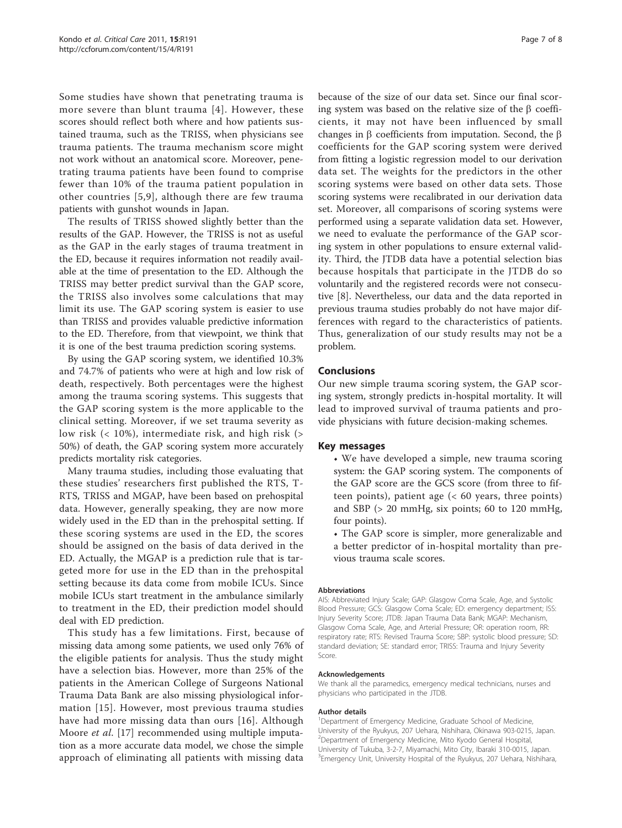Some studies have shown that penetrating trauma is more severe than blunt trauma [[4\]](#page-7-0). However, these scores should reflect both where and how patients sustained trauma, such as the TRISS, when physicians see trauma patients. The trauma mechanism score might not work without an anatomical score. Moreover, penetrating trauma patients have been found to comprise fewer than 10% of the trauma patient population in other countries [[5](#page-7-0),[9](#page-7-0)], although there are few trauma patients with gunshot wounds in Japan.

The results of TRISS showed slightly better than the results of the GAP. However, the TRISS is not as useful as the GAP in the early stages of trauma treatment in the ED, because it requires information not readily available at the time of presentation to the ED. Although the TRISS may better predict survival than the GAP score, the TRISS also involves some calculations that may limit its use. The GAP scoring system is easier to use than TRISS and provides valuable predictive information to the ED. Therefore, from that viewpoint, we think that it is one of the best trauma prediction scoring systems.

By using the GAP scoring system, we identified 10.3% and 74.7% of patients who were at high and low risk of death, respectively. Both percentages were the highest among the trauma scoring systems. This suggests that the GAP scoring system is the more applicable to the clinical setting. Moreover, if we set trauma severity as low risk (< 10%), intermediate risk, and high risk (> 50%) of death, the GAP scoring system more accurately predicts mortality risk categories.

Many trauma studies, including those evaluating that these studies' researchers first published the RTS, T-RTS, TRISS and MGAP, have been based on prehospital data. However, generally speaking, they are now more widely used in the ED than in the prehospital setting. If these scoring systems are used in the ED, the scores should be assigned on the basis of data derived in the ED. Actually, the MGAP is a prediction rule that is targeted more for use in the ED than in the prehospital setting because its data come from mobile ICUs. Since mobile ICUs start treatment in the ambulance similarly to treatment in the ED, their prediction model should deal with ED prediction.

This study has a few limitations. First, because of missing data among some patients, we used only 76% of the eligible patients for analysis. Thus the study might have a selection bias. However, more than 25% of the patients in the American College of Surgeons National Trauma Data Bank are also missing physiological information [[15](#page-7-0)]. However, most previous trauma studies have had more missing data than ours [[16](#page-7-0)]. Although Moore *et al.* [\[17](#page-7-0)] recommended using multiple imputation as a more accurate data model, we chose the simple approach of eliminating all patients with missing data

because of the size of our data set. Since our final scoring system was based on the relative size of the  $\beta$  coefficients, it may not have been influenced by small changes in  $\beta$  coefficients from imputation. Second, the  $\beta$ coefficients for the GAP scoring system were derived from fitting a logistic regression model to our derivation data set. The weights for the predictors in the other scoring systems were based on other data sets. Those scoring systems were recalibrated in our derivation data set. Moreover, all comparisons of scoring systems were performed using a separate validation data set. However, we need to evaluate the performance of the GAP scoring system in other populations to ensure external validity. Third, the JTDB data have a potential selection bias because hospitals that participate in the JTDB do so voluntarily and the registered records were not consecutive [\[8](#page-7-0)]. Nevertheless, our data and the data reported in previous trauma studies probably do not have major differences with regard to the characteristics of patients. Thus, generalization of our study results may not be a problem.

# Conclusions

Our new simple trauma scoring system, the GAP scoring system, strongly predicts in-hospital mortality. It will lead to improved survival of trauma patients and provide physicians with future decision-making schemes.

## Key messages

• We have developed a simple, new trauma scoring system: the GAP scoring system. The components of the GAP score are the GCS score (from three to fifteen points), patient age (< 60 years, three points) and SBP (> 20 mmHg, six points; 60 to 120 mmHg, four points).

• The GAP score is simpler, more generalizable and a better predictor of in-hospital mortality than previous trauma scale scores.

#### Abbreviations

AIS: Abbreviated Injury Scale; GAP: Glasgow Coma Scale, Age, and Systolic Blood Pressure; GCS: Glasgow Coma Scale; ED: emergency department; ISS: Injury Severity Score; JTDB: Japan Trauma Data Bank; MGAP: Mechanism, Glasgow Coma Scale, Age, and Arterial Pressure; OR: operation room, RR: respiratory rate; RTS: Revised Trauma Score; SBP: systolic blood pressure; SD: standard deviation; SE: standard error; TRISS: Trauma and Injury Severity Score.

#### Acknowledgements

We thank all the paramedics, emergency medical technicians, nurses and physicians who participated in the JTDB.

#### Author details

<sup>1</sup>Department of Emergency Medicine, Graduate School of Medicine, University of the Ryukyus, 207 Uehara, Nishihara, Okinawa 903-0215, Japan. 2 Department of Emergency Medicine, Mito Kyodo General Hospital, University of Tukuba, 3-2-7, Miyamachi, Mito City, Ibaraki 310-0015, Japan. <sup>3</sup> Emergency Unit, University Hospital of the Ryukyus, 207 Uehara, Nishihara